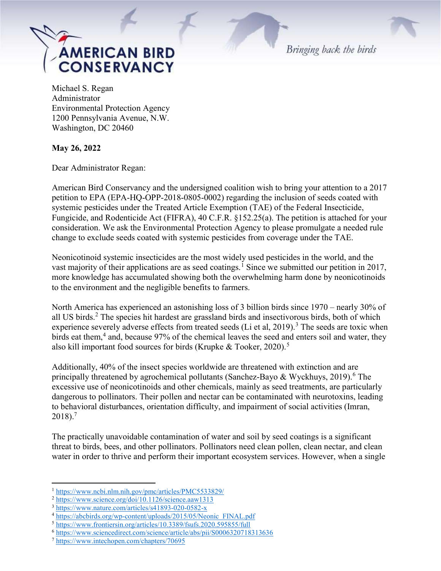

Bringing back the birds

Michael S. Regan Administrator Environmental Protection Agency 1200 Pennsylvania Avenue, N.W. Washington, DC 20460

May 26, 2022

Dear Administrator Regan:

American Bird Conservancy and the undersigned coalition wish to bring your attention to a 2017 petition to EPA (EPA-HQ-OPP-2018-0805-0002) regarding the inclusion of seeds coated with systemic pesticides under the Treated Article Exemption (TAE) of the Federal Insecticide, Fungicide, and Rodenticide Act (FIFRA), 40 C.F.R. §152.25(a). The petition is attached for your consideration. We ask the Environmental Protection Agency to please promulgate a needed rule change to exclude seeds coated with systemic pesticides from coverage under the TAE.

Neonicotinoid systemic insecticides are the most widely used pesticides in the world, and the vast majority of their applications are as seed coatings.<sup>1</sup> Since we submitted our petition in 2017, more knowledge has accumulated showing both the overwhelming harm done by neonicotinoids to the environment and the negligible benefits to farmers.

North America has experienced an astonishing loss of 3 billion birds since 1970 – nearly 30% of all US birds.<sup>2</sup> The species hit hardest are grassland birds and insectivorous birds, both of which experience severely adverse effects from treated seeds (Li et al, 2019).<sup>3</sup> The seeds are toxic when birds eat them,<sup>4</sup> and, because 97% of the chemical leaves the seed and enters soil and water, they also kill important food sources for birds (Krupke & Tooker, 2020).<sup>5</sup>

Additionally, 40% of the insect species worldwide are threatened with extinction and are principally threatened by agrochemical pollutants (Sanchez-Bayo & Wyckhuys, 2019).<sup>6</sup> The excessive use of neonicotinoids and other chemicals, mainly as seed treatments, are particularly dangerous to pollinators. Their pollen and nectar can be contaminated with neurotoxins, leading to behavioral disturbances, orientation difficulty, and impairment of social activities (Imran,  $2018$ ).<sup>7</sup>

The practically unavoidable contamination of water and soil by seed coatings is a significant threat to birds, bees, and other pollinators. Pollinators need clean pollen, clean nectar, and clean water in order to thrive and perform their important ecosystem services. However, when a single

 $\overline{a}$ 

<sup>1</sup> https://www.ncbi.nlm.nih.gov/pmc/articles/PMC5533829/

<sup>2</sup> https://www.science.org/doi/10.1126/science.aaw1313

<sup>3</sup> https://www.nature.com/articles/s41893-020-0582-x

<sup>4</sup> https://abcbirds.org/wp-content/uploads/2015/05/Neonic\_FINAL.pdf

<sup>5</sup> https://www.frontiersin.org/articles/10.3389/fsufs.2020.595855/full

<sup>6</sup> https://www.sciencedirect.com/science/article/abs/pii/S0006320718313636

<sup>7</sup> https://www.intechopen.com/chapters/70695